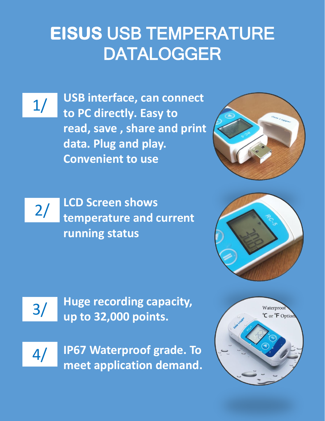# **EISUS** USB TEMPERATURE DATALOGGER

1/ **USB interface, can connect to PC directly. Easy to read, save , share and print data. Plug and play. Convenient to use**



2/ **LCD Screen shows temperature and current running status**





3/ **Huge recording capacity, up to 32,000 points.**

4/

**IP67 Waterproof grade. To meet application demand.**

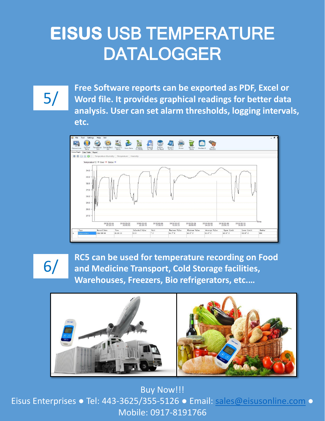## **EISUS** USB TEMPERATURE DATALOGGER

5/

**Free Software reports can be exported as PDF, Excel or Word file. It provides graphical readings for better data analysis. User can set alarm thresholds, logging intervals, etc.**



6/

**RC5 can be used for temperature recording on Food and Medicine Transport, Cold Storage facilities, Warehouses, Freezers, Bio refrigerators, etc.…**



**Buy Now!!!** Eisus Enterprises ● Tel: 443-3625/355-5126 ● Email: [sales@eisusonline.com](mailto:sales@eisusonline.com) ● Mobile: 0917-8191766